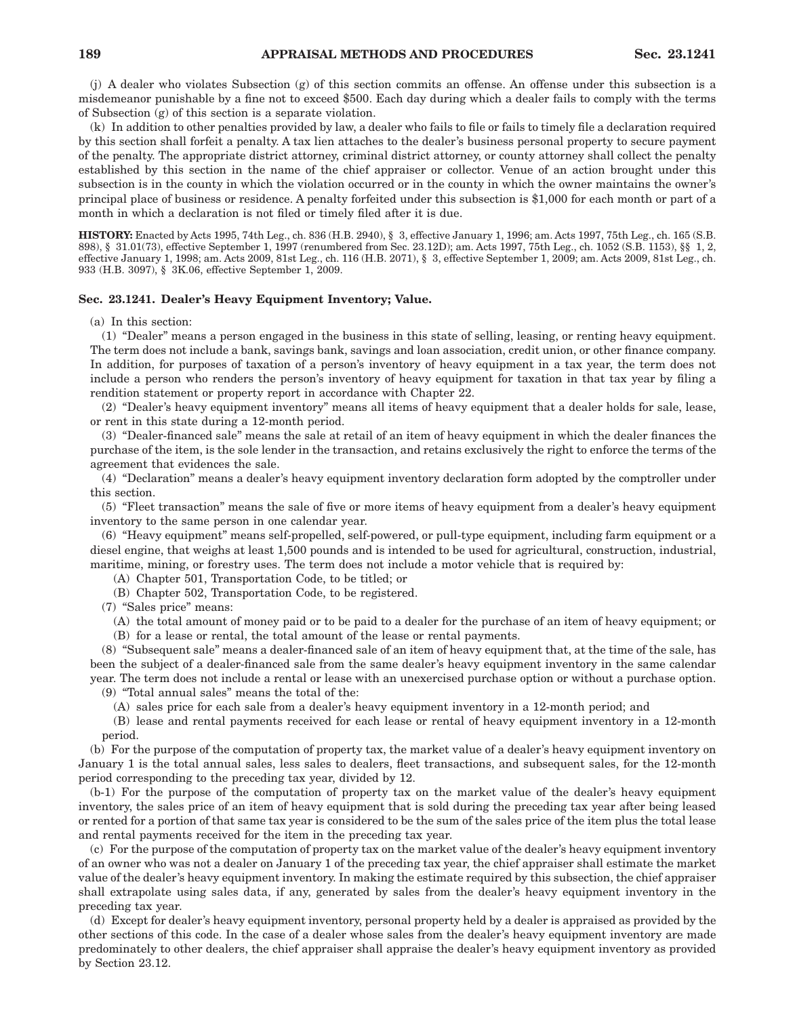(j) A dealer who violates Subsection (g) of this section commits an offense. An offense under this subsection is a misdemeanor punishable by a fine not to exceed \$500. Each day during which a dealer fails to comply with the terms of Subsection (g) of this section is a separate violation.

(k) In addition to other penalties provided by law, a dealer who fails to file or fails to timely file a declaration required by this section shall forfeit a penalty. A tax lien attaches to the dealer's business personal property to secure payment of the penalty. The appropriate district attorney, criminal district attorney, or county attorney shall collect the penalty established by this section in the name of the chief appraiser or collector. Venue of an action brought under this subsection is in the county in which the violation occurred or in the county in which the owner maintains the owner's principal place of business or residence. A penalty forfeited under this subsection is \$1,000 for each month or part of a month in which a declaration is not filed or timely filed after it is due.

**HISTORY:** Enacted by Acts 1995, 74th Leg., ch. 836 (H.B. 2940), § 3, effective January 1, 1996; am. Acts 1997, 75th Leg., ch. 165 (S.B. 898), § 31.01(73), effective September 1, 1997 (renumbered from Sec. 23.12D); am. Acts 1997, 75th Leg., ch. 1052 (S.B. 1153), §§ 1, 2, effective January 1, 1998; am. Acts 2009, 81st Leg., ch. 116 (H.B. 2071), § 3, effective September 1, 2009; am. Acts 2009, 81st Leg., ch. 933 (H.B. 3097), § 3K.06, effective September 1, 2009.

# **Sec. 23.1241. Dealer's Heavy Equipment Inventory; Value.**

(a) In this section:

(1) "Dealer" means a person engaged in the business in this state of selling, leasing, or renting heavy equipment. The term does not include a bank, savings bank, savings and loan association, credit union, or other finance company. In addition, for purposes of taxation of a person's inventory of heavy equipment in a tax year, the term does not include a person who renders the person's inventory of heavy equipment for taxation in that tax year by filing a rendition statement or property report in accordance with Chapter 22.

(2) "Dealer's heavy equipment inventory" means all items of heavy equipment that a dealer holds for sale, lease, or rent in this state during a 12-month period.

(3) "Dealer-financed sale" means the sale at retail of an item of heavy equipment in which the dealer finances the purchase of the item, is the sole lender in the transaction, and retains exclusively the right to enforce the terms of the agreement that evidences the sale.

(4) "Declaration" means a dealer's heavy equipment inventory declaration form adopted by the comptroller under this section.

(5) "Fleet transaction" means the sale of five or more items of heavy equipment from a dealer's heavy equipment inventory to the same person in one calendar year.

(6) "Heavy equipment" means self-propelled, self-powered, or pull-type equipment, including farm equipment or a diesel engine, that weighs at least 1,500 pounds and is intended to be used for agricultural, construction, industrial, maritime, mining, or forestry uses. The term does not include a motor vehicle that is required by:

(A) Chapter 501, Transportation Code, to be titled; or

(B) Chapter 502, Transportation Code, to be registered.

(7) "Sales price" means:

(A) the total amount of money paid or to be paid to a dealer for the purchase of an item of heavy equipment; or (B) for a lease or rental, the total amount of the lease or rental payments.

(8) "Subsequent sale" means a dealer-financed sale of an item of heavy equipment that, at the time of the sale, has been the subject of a dealer-financed sale from the same dealer's heavy equipment inventory in the same calendar year. The term does not include a rental or lease with an unexercised purchase option or without a purchase option.

(9) "Total annual sales" means the total of the:

(A) sales price for each sale from a dealer's heavy equipment inventory in a 12-month period; and

(B) lease and rental payments received for each lease or rental of heavy equipment inventory in a 12-month period.

(b) For the purpose of the computation of property tax, the market value of a dealer's heavy equipment inventory on January 1 is the total annual sales, less sales to dealers, fleet transactions, and subsequent sales, for the 12-month period corresponding to the preceding tax year, divided by 12.

(b-1) For the purpose of the computation of property tax on the market value of the dealer's heavy equipment inventory, the sales price of an item of heavy equipment that is sold during the preceding tax year after being leased or rented for a portion of that same tax year is considered to be the sum of the sales price of the item plus the total lease and rental payments received for the item in the preceding tax year.

(c) For the purpose of the computation of property tax on the market value of the dealer's heavy equipment inventory of an owner who was not a dealer on January 1 of the preceding tax year, the chief appraiser shall estimate the market value of the dealer's heavy equipment inventory. In making the estimate required by this subsection, the chief appraiser shall extrapolate using sales data, if any, generated by sales from the dealer's heavy equipment inventory in the preceding tax year.

(d) Except for dealer's heavy equipment inventory, personal property held by a dealer is appraised as provided by the other sections of this code. In the case of a dealer whose sales from the dealer's heavy equipment inventory are made predominately to other dealers, the chief appraiser shall appraise the dealer's heavy equipment inventory as provided by Section 23.12.